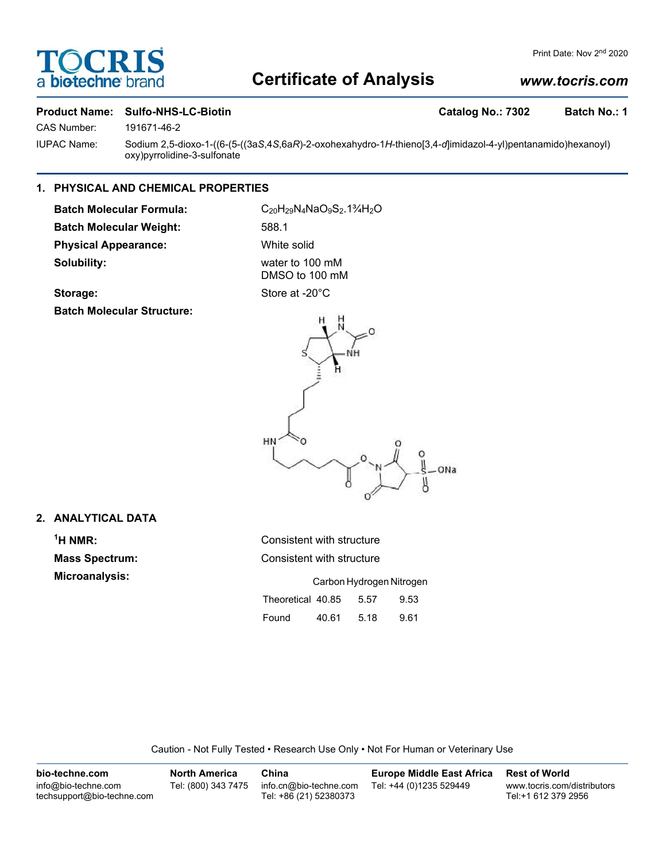# OCRI a biotechne

### Print Date: Nov 2<sup>nd</sup> 2020

# **Certificate of Analysis**

# *www.tocris.com*

# **Product Name: Sulfo-NHS-LC-Biotin Catalog No.: 7302 Batch No.: 1**

CAS Number: 191671-46-2

IUPAC Name: Sodium 2,5-dioxo-1-((6-(5-((3a*S*,4*S*,6a*R*)-2-oxohexahydro-1*H*-thieno[3,4-*d*]imidazol-4-yl)pentanamido)hexanoyl) oxy)pyrrolidine-3-sulfonate

# **1. PHYSICAL AND CHEMICAL PROPERTIES**

Batch Molecular Formula: C<sub>20</sub>H<sub>29</sub>N<sub>4</sub>NaO<sub>9</sub>S<sub>2</sub>.1<sup>3</sup>/<sub>4</sub>H<sub>2</sub>O **Batch Molecular Weight:** 588.1 **Physical Appearance:** White solid **Solubility:** water to 100 mM

DMSO to 100 mM

## Storage: Store at -20°C

**Batch Molecular Structure:**



## **2. ANALYTICAL DATA**

 $<sup>1</sup>H NMR$ :</sup> **Mass Spectrum: Microanalysis:** 

| H NMR:                | Consistent with structure |       |      |      |  |
|-----------------------|---------------------------|-------|------|------|--|
| <b>lass Spectrum:</b> | Consistent with structure |       |      |      |  |
| Microanalysis:        | Carbon Hydrogen Nitrogen  |       |      |      |  |
|                       | Theoretical 40.85         |       | 5.57 | 9.53 |  |
|                       | Found                     | 40.61 | 5.18 | 9.61 |  |
|                       |                           |       |      |      |  |

Caution - Not Fully Tested • Research Use Only • Not For Human or Veterinary Use

| bio-techne.com                                    | North America       | China                                            | <b>Europe Middle East Africa</b> | <b>Rest of World</b>                               |
|---------------------------------------------------|---------------------|--------------------------------------------------|----------------------------------|----------------------------------------------------|
| info@bio-techne.com<br>techsupport@bio-techne.com | Tel: (800) 343 7475 | info.cn@bio-techne.com<br>Tel: +86 (21) 52380373 | Tel: +44 (0)1235 529449          | www.tocris.com/distributors<br>Tel:+1 612 379 2956 |